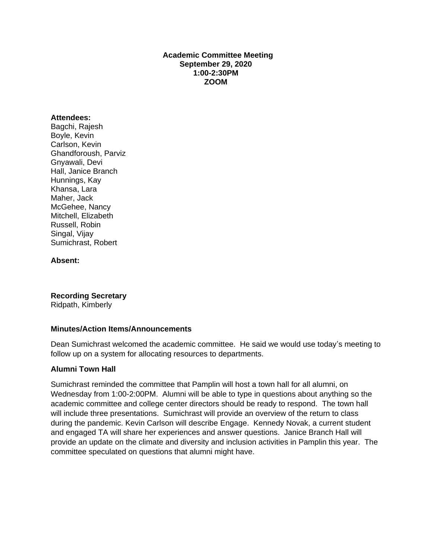### **Academic Committee Meeting September 29, 2020 1:00-2:30PM ZOOM**

#### **Attendees:**

Bagchi, Rajesh Boyle, Kevin Carlson, Kevin Ghandforoush, Parviz Gnyawali, Devi Hall, Janice Branch Hunnings, Kay Khansa, Lara Maher, Jack McGehee, Nancy Mitchell, Elizabeth Russell, Robin Singal, Vijay Sumichrast, Robert

#### **Absent:**

**Recording Secretary**

Ridpath, Kimberly

#### **Minutes/Action Items/Announcements**

Dean Sumichrast welcomed the academic committee. He said we would use today's meeting to follow up on a system for allocating resources to departments.

### **Alumni Town Hall**

Sumichrast reminded the committee that Pamplin will host a town hall for all alumni, on Wednesday from 1:00-2:00PM. Alumni will be able to type in questions about anything so the academic committee and college center directors should be ready to respond. The town hall will include three presentations. Sumichrast will provide an overview of the return to class during the pandemic. Kevin Carlson will describe Engage. Kennedy Novak, a current student and engaged TA will share her experiences and answer questions. Janice Branch Hall will provide an update on the climate and diversity and inclusion activities in Pamplin this year. The committee speculated on questions that alumni might have.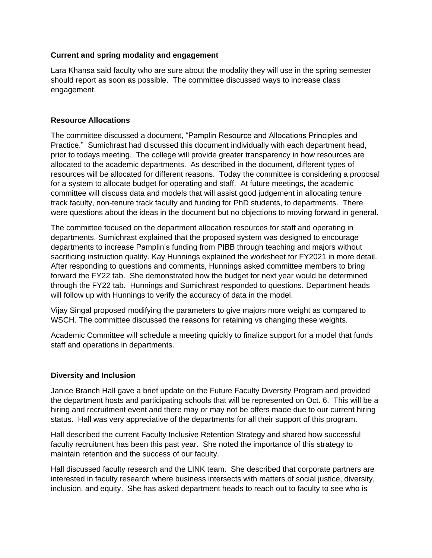### **Current and spring modality and engagement**

Lara Khansa said faculty who are sure about the modality they will use in the spring semester should report as soon as possible. The committee discussed ways to increase class engagement.

### **Resource Allocations**

The committee discussed a document, "Pamplin Resource and Allocations Principles and Practice." Sumichrast had discussed this document individually with each department head, prior to todays meeting. The college will provide greater transparency in how resources are allocated to the academic departments. As described in the document, different types of resources will be allocated for different reasons. Today the committee is considering a proposal for a system to allocate budget for operating and staff. At future meetings, the academic committee will discuss data and models that will assist good judgement in allocating tenure track faculty, non-tenure track faculty and funding for PhD students, to departments. There were questions about the ideas in the document but no objections to moving forward in general.

The committee focused on the department allocation resources for staff and operating in departments. Sumichrast explained that the proposed system was designed to encourage departments to increase Pamplin's funding from PIBB through teaching and majors without sacrificing instruction quality. Kay Hunnings explained the worksheet for FY2021 in more detail. After responding to questions and comments, Hunnings asked committee members to bring forward the FY22 tab. She demonstrated how the budget for next year would be determined through the FY22 tab. Hunnings and Sumichrast responded to questions. Department heads will follow up with Hunnings to verify the accuracy of data in the model.

Vijay Singal proposed modifying the parameters to give majors more weight as compared to WSCH. The committee discussed the reasons for retaining vs changing these weights.

Academic Committee will schedule a meeting quickly to finalize support for a model that funds staff and operations in departments.

# **Diversity and Inclusion**

Janice Branch Hall gave a brief update on the Future Faculty Diversity Program and provided the department hosts and participating schools that will be represented on Oct. 6. This will be a hiring and recruitment event and there may or may not be offers made due to our current hiring status. Hall was very appreciative of the departments for all their support of this program.

Hall described the current Faculty Inclusive Retention Strategy and shared how successful faculty recruitment has been this past year. She noted the importance of this strategy to maintain retention and the success of our faculty.

Hall discussed faculty research and the LINK team. She described that corporate partners are interested in faculty research where business intersects with matters of social justice, diversity, inclusion, and equity. She has asked department heads to reach out to faculty to see who is